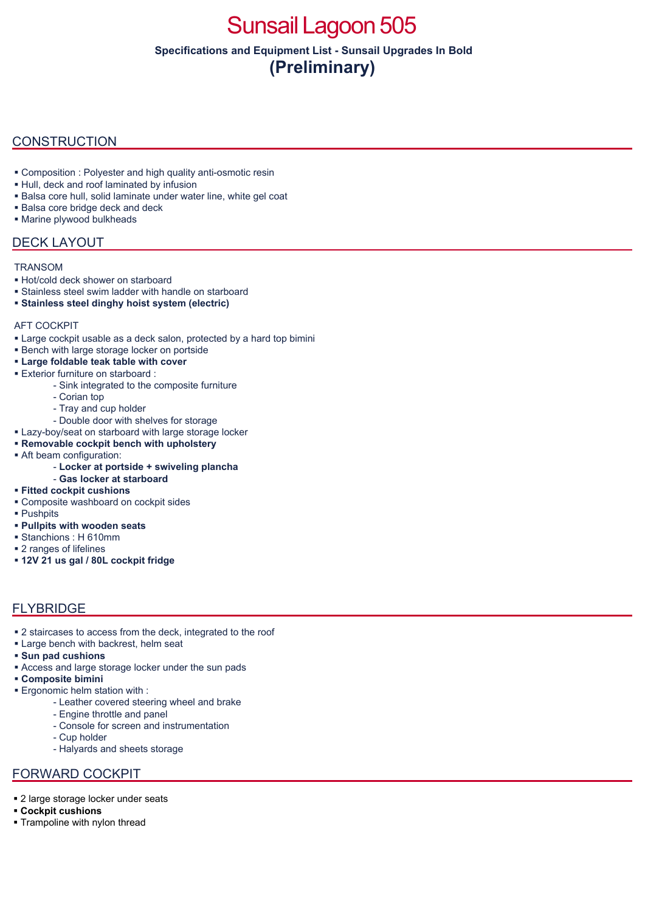# Sunsail Lagoon 505

**Specifications and Equipment List - Sunsail Upgrades In Bold (Preliminary)**

### **CONSTRUCTION**

- Composition : Polyester and high quality anti-osmotic resin
- Hull, deck and roof laminated by infusion
- Balsa core hull, solid laminate under water line, white gel coat
- **Balsa core bridge deck and deck**
- **Marine plywood bulkheads**

### DECK LAYOUT

#### **TRANSOM**

- Hot/cold deck shower on starboard
- Stainless steel swim ladder with handle on starboard
- **Stainless steel dinghy hoist system (electric)**

#### AFT COCKPIT

- Large cockpit usable as a deck salon, protected by a hard top bimini
- **Bench with large storage locker on portside**
- **Large foldable teak table with cover**
- Exterior furniture on starboard :
	- Sink integrated to the composite furniture
	- Corian top
	- Tray and cup holder
	- Double door with shelves for storage
- **Lazy-boy/seat on starboard with large storage locker**
- **Removable cockpit bench with upholstery**
- Aft beam configuration:
	- **Locker at portside + swiveling plancha**
	- **Gas locker at starboard**
- **Fitted cockpit cushions**
- Composite washboard on cockpit sides
- Pushpits
- **Pullpits with wooden seats**
- Stanchions : H 610mm
- 2 ranges of lifelines
- **12V 21 us gal / 80L cockpit fridge**

### FLYBRIDGE

- 2 staircases to access from the deck, integrated to the roof
- **Large bench with backrest, helm seat**
- **Sun pad cushions**
- Access and large storage locker under the sun pads
- **Composite bimini**
- Ergonomic helm station with :
	- Leather covered steering wheel and brake
	- Engine throttle and panel
	- Console for screen and instrumentation
	- Cup holder
	- Halyards and sheets storage

### FORWARD COCKPIT

- **2** large storage locker under seats
- **Cockpit cushions**
- **Trampoline with nylon thread**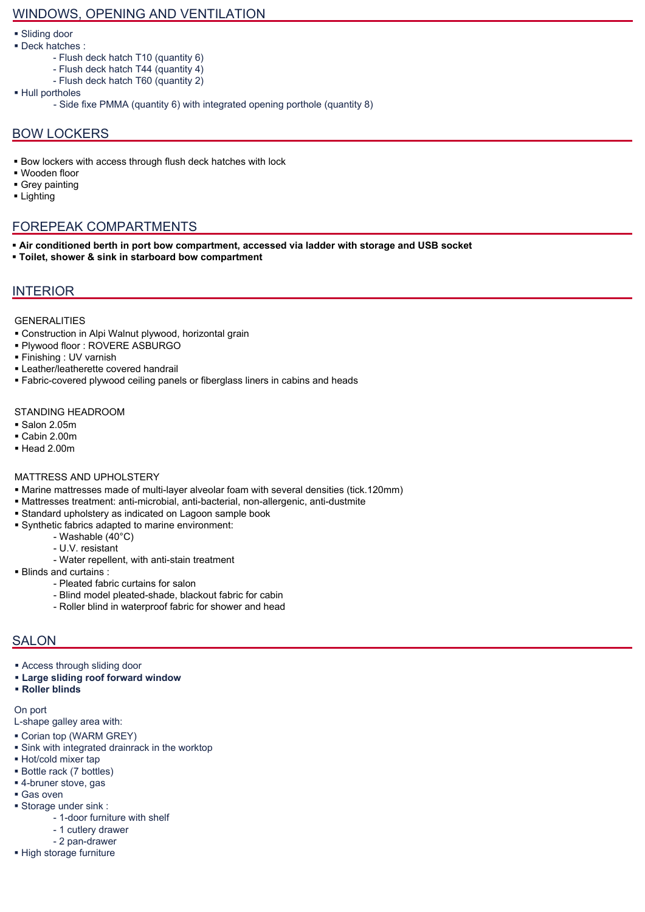### WINDOWS, OPENING AND VENTILATION

- Sliding door
- Deck hatches :
	- Flush deck hatch T10 (quantity 6)
	- Flush deck hatch T44 (quantity 4)
	- Flush deck hatch T60 (quantity 2)
- Hull portholes
	- Side fixe PMMA (quantity 6) with integrated opening porthole (quantity 8)

### BOW LOCKERS

- **Bow lockers with access through flush deck hatches with lock**
- Wooden floor
- Grey painting
- **Lighting**

### FOREPEAK COMPARTMENTS

- **Air conditioned berth in port bow compartment, accessed via ladder with storage and USB socket**
- **Toilet, shower & sink in starboard bow compartment**

### INTERIOR

#### GENERALITIES

- Construction in Alpi Walnut plywood, horizontal grain
- Plywood floor : ROVERE ASBURGO
- Finishing : UV varnish
- Leather/leatherette covered handrail
- Fabric-covered plywood ceiling panels or fiberglass liners in cabins and heads

#### STANDING HEADROOM

- Salon 2.05m
- Cabin 2.00m
- Head 2.00m

#### MATTRESS AND UPHOLSTERY

- Marine mattresses made of multi-layer alveolar foam with several densities (tick.120mm)
- Mattresses treatment: anti-microbial, anti-bacterial, non-allergenic, anti-dustmite
- Standard upholstery as indicated on Lagoon sample book
- Synthetic fabrics adapted to marine environment:
	- Washable (40°C)
	- U.V. resistant
	- Water repellent, with anti-stain treatment
- Blinds and curtains :
	- Pleated fabric curtains for salon
	- Blind model pleated-shade, blackout fabric for cabin
	- Roller blind in waterproof fabric for shower and head

### **SALON**

- Access through sliding door
- **Large sliding roof forward window**
- **Roller blinds**

#### On port

- L-shape galley area with:
- Corian top (WARM GREY)
- Sink with integrated drainrack in the worktop
- Hot/cold mixer tap
- Bottle rack (7 bottles)
- 4-bruner stove, gas
- Gas oven
- Storage under sink :
	- 1-door furniture with shelf
	- 1 cutlery drawer
	- 2 pan-drawer
- **High storage furniture**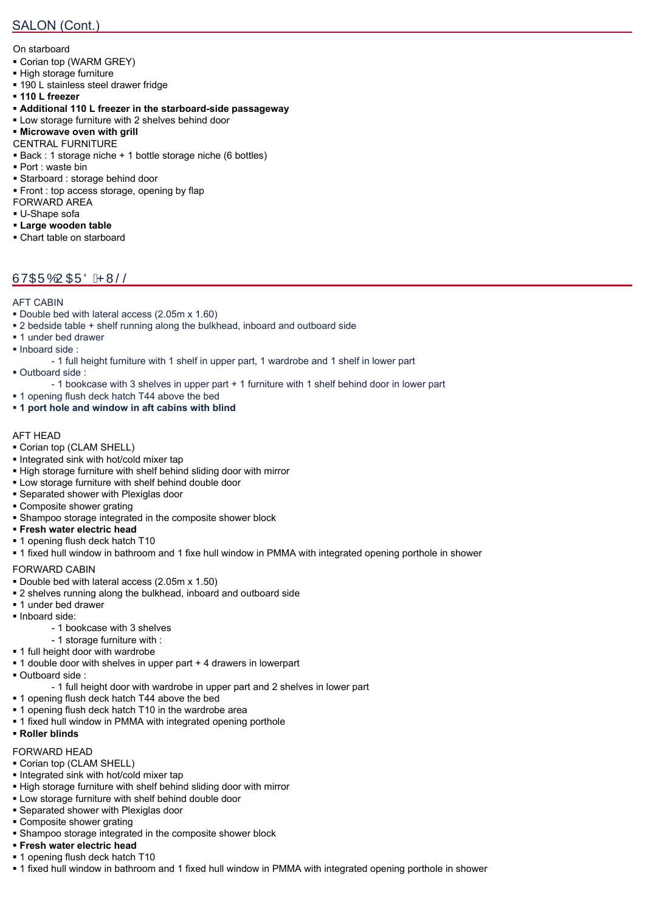## SALON (Cont.)

On starboard

- Corian top (WARM GREY)
- High storage furniture
- **190 L stainless steel drawer fridge**
- **110 L freezer**
- **Additional 110 L freezer in the starboard-side passageway**
- Low storage furniture with 2 shelves behind door
- **Microwave oven with grill**
- CENTRAL FURNITURE
- Back : 1 storage niche + 1 bottle storage niche (6 bottles)
- Port : waste bin
- Starboard : storage behind door
- **Front : top access storage, opening by flap**
- FORWARD AREA
- U-Shape sofa
- **Large wooden table**
- Chart table on starboard

# ÙVŒÜÓUŒÜÖÁPWŠŠ

#### AFT CABIN

- Double bed with lateral access (2.05m x 1.60)
- 2 bedside table + shelf running along the bulkhead, inboard and outboard side
- **1** under bed drawer
- Inboard side :
	- 1 full height furniture with 1 shelf in upper part, 1 wardrobe and 1 shelf in lower part
- Outboard side :
	- 1 bookcase with 3 shelves in upper part + 1 furniture with 1 shelf behind door in lower part
- 1 opening flush deck hatch T44 above the bed
- **1 port hole and window in aft cabins with blind**

#### AFT HEAD

- Corian top (CLAM SHELL)
- **Integrated sink with hot/cold mixer tap**
- High storage furniture with shelf behind sliding door with mirror
- Low storage furniture with shelf behind double door
- Separated shower with Plexiglas door
- Composite shower grating
- Shampoo storage integrated in the composite shower block
- **Fresh water electric head**
- **1** opening flush deck hatch T10
- 1 fixed hull window in bathroom and 1 fixe hull window in PMMA with integrated opening porthole in shower

#### FORWARD CABIN

- Double bed with lateral access (2.05m x 1.50)
- 2 shelves running along the bulkhead, inboard and outboard side
- **1** under bed drawer
- Inboard side:
	- 1 bookcase with 3 shelves
	- 1 storage furniture with :
- **1** full height door with wardrobe
- 1 double door with shelves in upper part + 4 drawers in lowerpart
- Outboard side :
	- 1 full height door with wardrobe in upper part and 2 shelves in lower part
- **1** opening flush deck hatch T44 above the bed
- **1** opening flush deck hatch T10 in the wardrobe area
- **1 fixed hull window in PMMA with integrated opening porthole**

### **Roller blinds**

### FORWARD HEAD

- Corian top (CLAM SHELL)
- Integrated sink with hot/cold mixer tap
- High storage furniture with shelf behind sliding door with mirror
- Low storage furniture with shelf behind double door
- Separated shower with Plexiglas door
- Composite shower grating
- **Shampoo storage integrated in the composite shower block**
- **Fresh water electric head**
- **1** opening flush deck hatch T10
- 1 fixed hull window in bathroom and 1 fixed hull window in PMMA with integrated opening porthole in shower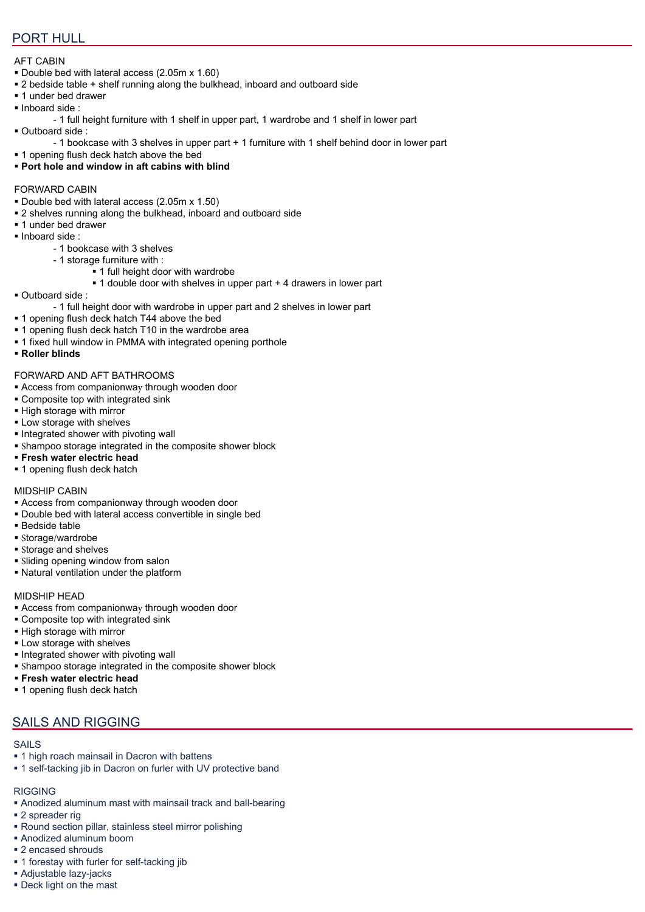### PORT HULL

#### AFT CABIN

- Double bed with lateral access (2.05m x 1.60)
- 2 bedside table + shelf running along the bulkhead, inboard and outboard side
- 1 under bed drawer
- $\blacksquare$  Inboard side :
- 1 full height furniture with 1 shelf in upper part, 1 wardrobe and 1 shelf in lower part Outboard side :
	- 1 bookcase with 3 shelves in upper part + 1 furniture with 1 shelf behind door in lower part
- 1 opening flush deck hatch above the bed
- **Port hole and window in aft cabins with blind**

#### FORWARD CABIN

- Double bed with lateral access (2.05m x 1.50)
- 2 shelves running along the bulkhead, inboard and outboard side
- **1** under bed drawer
- Inboard side :
	- 1 bookcase with 3 shelves
	- 1 storage furniture with :
		- **1** full height door with wardrobe
		- 1 double door with shelves in upper part + 4 drawers in lower part
- Outboard side :

- 1 full height door with wardrobe in upper part and 2 shelves in lower part

- 1 opening flush deck hatch T44 above the bed
- 1 opening flush deck hatch T10 in the wardrobe area
- 1 fixed hull window in PMMA with integrated opening porthole
- **Roller blinds**

#### FORWARD AND AFT BATHROOMS

- Access from companionway through wooden door
- **Composite top with integrated sink**
- **High storage with mirror**
- **Low storage with shelves**
- **Integrated shower with pivoting wall**
- Shampoo storage integrated in the composite shower block
- **Fresh water electric head**
- **1** opening flush deck hatch

#### MIDSHIP CABIN

- Access from companionway through wooden door
- Double bed with lateral access convertible in single bed
- Bedside table
- Storage/wardrobe
- **Storage and shelves**
- Sliding opening window from salon
- Natural ventilation under the platform

#### MIDSHIP HEAD

- Access from companionway through wooden door
- Composite top with integrated sink
- **High storage with mirror**
- **Low storage with shelves**
- Integrated shower with pivoting wall
- Shampoo storage integrated in the composite shower block
- **Fresh water electric head**
- 1 opening flush deck hatch

### SAILS AND RIGGING

#### SAILS

- **1** high roach mainsail in Dacron with battens
- 1 self-tacking jib in Dacron on furler with UV protective band

### RIGGING

- Anodized aluminum mast with mainsail track and ball-bearing
- 2 spreader rig
- Round section pillar, stainless steel mirror polishing
- Anodized aluminum boom
- 2 encased shrouds
- **1** forestay with furler for self-tacking jib
- Adjustable lazy-jacks
- Deck light on the mast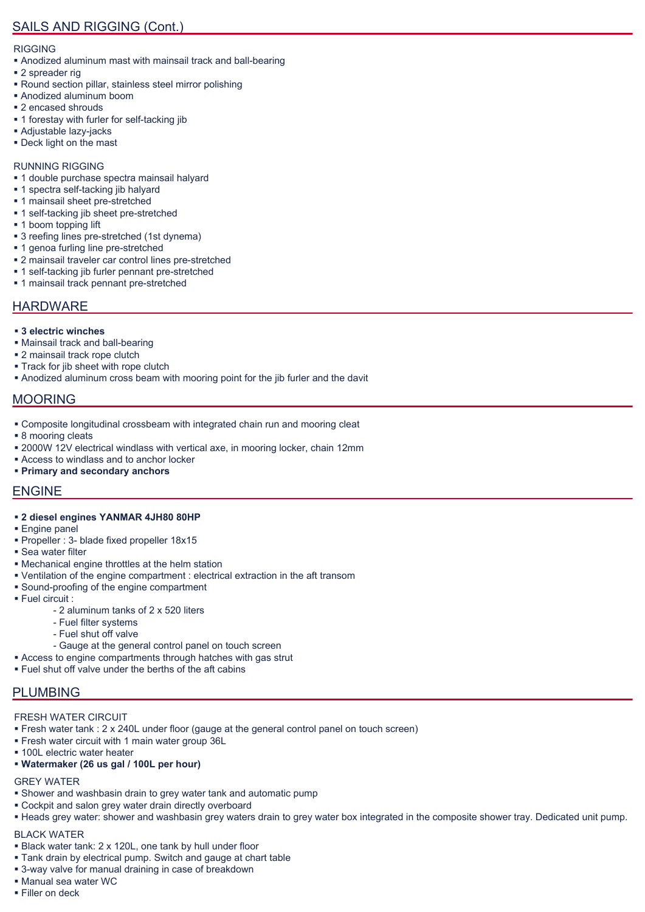#### RIGGING

- Anodized aluminum mast with mainsail track and ball-bearing
- 2 spreader rig
- Round section pillar, stainless steel mirror polishing
- Anodized aluminum boom
- 2 encased shrouds
- 1 forestay with furler for self-tacking jib
- Adjustable lazy-jacks
- Deck light on the mast

#### RUNNING RIGGING

- **1** double purchase spectra mainsail halyard
- **1** spectra self-tacking jib halyard
- **1** mainsail sheet pre-stretched
- 1 self-tacking jib sheet pre-stretched
- **1** boom topping lift
- 3 reefing lines pre-stretched (1st dynema)
- 1 genoa furling line pre-stretched
- 2 mainsail traveler car control lines pre-stretched
- 1 self-tacking jib furler pennant pre-stretched
- **1** mainsail track pennant pre-stretched

### HARDWARE

- **3 electric winches**
- Mainsail track and ball-bearing
- **2** mainsail track rope clutch
- **Track for jib sheet with rope clutch**
- Anodized aluminum cross beam with mooring point for the jib furler and the davit

### MOORING

- Composite longitudinal crossbeam with integrated chain run and mooring cleat
- 8 mooring cleats
- 2000W 12V electrical windlass with vertical axe, in mooring locker, chain 12mm
- Access to windlass and to anchor locker
- **Primary and secondary anchors**

### ENGINE

- **2 diesel engines YANMAR 4JH80 80HP**
- **Engine panel**
- Propeller : 3- blade fixed propeller 18x15
- Sea water filter
- Mechanical engine throttles at the helm station
- Ventilation of the engine compartment : electrical extraction in the aft transom
- Sound-proofing of the engine compartment
- Fuel circuit :
	- 2 aluminum tanks of 2 x 520 liters
	- Fuel filter systems
	- Fuel shut off valve
	- Gauge at the general control panel on touch screen
- Access to engine compartments through hatches with gas strut
- **Fuel shut off valve under the berths of the aft cabins**

### PLUMBING

#### FRESH WATER CIRCUIT

- Fresh water tank : 2 x 240L under floor (gauge at the general control panel on touch screen)
- Fresh water circuit with 1 main water group 36L
- **100L electric water heater**
- **Watermaker (26 us gal / 100L per hour)**

#### GREY WATER

- Shower and washbasin drain to grey water tank and automatic pump
- Cockpit and salon grey water drain directly overboard
- Heads grey water: shower and washbasin grey waters drain to grey water box integrated in the composite shower tray. Dedicated unit pump.

### BLACK WATER

- Black water tank: 2 x 120L, one tank by hull under floor
- Tank drain by electrical pump. Switch and gauge at chart table
- 3-way valve for manual draining in case of breakdown
- Manual sea water WC
- Filler on deck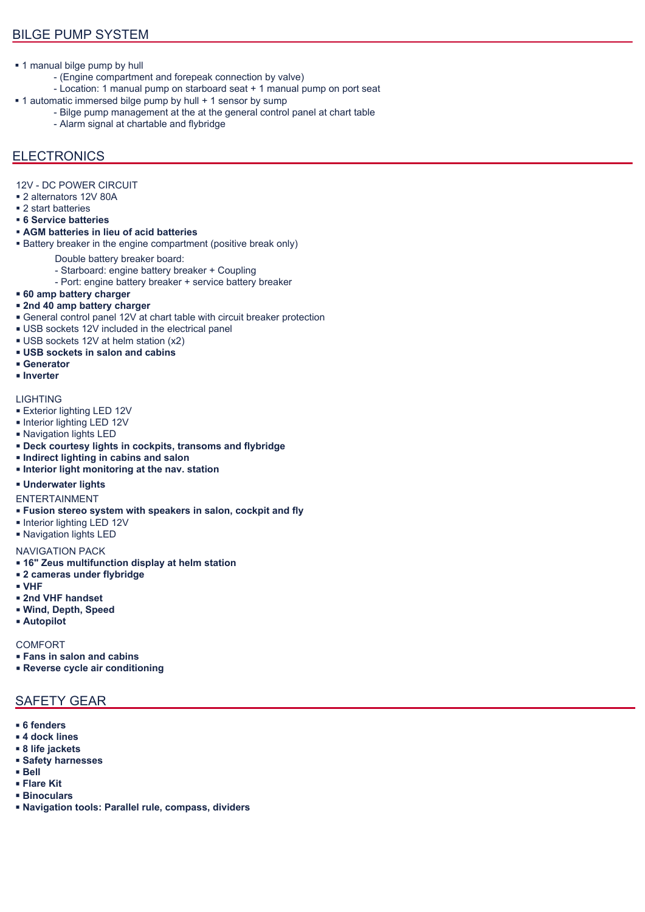- **1** manual bilge pump by hull
	- (Engine compartment and forepeak connection by valve)
	- Location: 1 manual pump on starboard seat + 1 manual pump on port seat
- 1 automatic immersed bilge pump by hull + 1 sensor by sump
	- Bilge pump management at the at the general control panel at chart table
	- Alarm signal at chartable and flybridge

### **ELECTRONICS**

- 12V DC POWER CIRCUIT
- 2 alternators 12V 80A
- 2 start batteries
- **6 Service batteries**
- **AGM batteries in lieu of acid batteries**
- **Battery breaker in the engine compartment (positive break only)** 
	- Double battery breaker board:
		- Starboard: engine battery breaker + Coupling
	- Port: engine battery breaker + service battery breaker
- **60 amp battery charger**
- **2nd 40 amp battery charger**
- General control panel 12V at chart table with circuit breaker protection
- USB sockets 12V included in the electrical panel
- USB sockets 12V at helm station (x2)
- **USB sockets in salon and cabins**
- **Generator**
- **Inverter**

#### **LIGHTING**

- **Exterior lighting LED 12V**
- **Interior lighting LED 12V**
- Navigation lights LED
- **Deck courtesy lights in cockpits, transoms and flybridge**
- **Indirect lighting in cabins and salon**
- **Interior light monitoring at the nav. station**

#### **Underwater lights**

- ENTERTAINMENT
- **Fusion stereo system with speakers in salon, cockpit and fly**
- **Interior lighting LED 12V**
- Navigation lights LED

#### NAVIGATION PACK

- **16" Zeus multifunction display at helm station**
- **2 cameras under flybridge**
- **VHF**
- **2nd VHF handset**
- **Wind, Depth, Speed**
- **Autopilot**

**COMFORT** 

- **Fans in salon and cabins**
- **Reverse cycle air conditioning**

### SAFETY GEAR

- **6 fenders**
- **4 dock lines**
- **8 life jackets**
- **Safety harnesses**
- **Bell**
- **Flare Kit**
- **Binoculars**
- **Navigation tools: Parallel rule, compass, dividers**